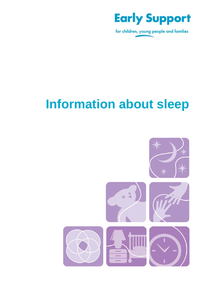

for children, young people and families

# **Information about sleep**

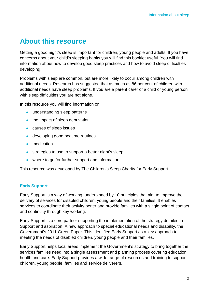### **About this resource**

Getting a good night's sleep is important for children, young people and adults. If you have concerns about your child's sleeping habits you will find this booklet useful. You will find information about how to develop good sleep practices and how to avoid sleep difficulties developing.

Problems with sleep are common, but are more likely to occur among children with additional needs. Research has suggested that as much as 86 per cent of children with additional needs have sleep problems. If you are a parent carer of a child or young person with sleep difficulties you are not alone.

In this resource you will find information on:

- understanding sleep patterns
- the impact of sleep deprivation
- causes of sleep issues
- developing good bedtime routines
- medication
- strategies to use to support a better night's sleep
- where to go for further support and information

This resource was developed by The Children's Sleep Charity for Early Support.

#### **Early Support**

Early Support is a way of working, underpinned by 10 principles that aim to improve the delivery of services for disabled children, young people and their families. It enables services to coordinate their activity better and provide families with a single point of contact and continuity through key working.

Early Support is a core partner supporting the implementation of the strategy detailed in Support and aspiration: A new approach to special educational needs and disability, the Government's 2011 Green Paper. This identified Early Support as a key approach to meeting the needs of disabled children, young people and their families.

Early Support helps local areas implement the Government's strategy to bring together the services families need into a single assessment and planning process covering education, health and care. Early Support provides a wide range of resources and training to support children, young people, families and service deliverers.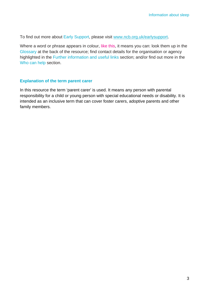To find out more about Early Support, please visit www.ncb.org.uk/earlysupport.

Where a word or phrase appears in colour, like this, it means you can: look them up in the Glossary at the back of the resource; find contact details for the organisation or agency highlighted in the Further information and useful links section; and/or find out more in the Who can help section.

#### **Explanation of the term parent carer**

In this resource the term 'parent carer' is used. It means any person with parental responsibility for a child or young person with special educational needs or disability. It is intended as an inclusive term that can cover foster carers, adoptive parents and other family members.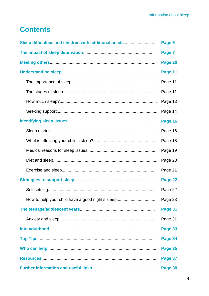## **Contents**

| Sleep difficulties and children with additional needs |         |  |
|-------------------------------------------------------|---------|--|
|                                                       | Page 7  |  |
|                                                       | Page 20 |  |
|                                                       | Page 11 |  |
|                                                       | Page 11 |  |
|                                                       | Page 11 |  |
|                                                       | Page 13 |  |
|                                                       | Page 14 |  |
|                                                       | Page 16 |  |
|                                                       | Page 16 |  |
|                                                       | Page 18 |  |
|                                                       | Page 19 |  |
|                                                       | Page 20 |  |
|                                                       | Page 21 |  |
|                                                       | Page 22 |  |
|                                                       | Page 22 |  |
| How to help your child have a good night's sleep      | Page 23 |  |
|                                                       | Page 31 |  |
|                                                       | Page 31 |  |
|                                                       | Page 33 |  |
|                                                       | Page 34 |  |
|                                                       | Page 35 |  |
|                                                       | Page 37 |  |
|                                                       | Page 38 |  |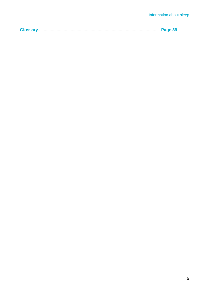|--|--|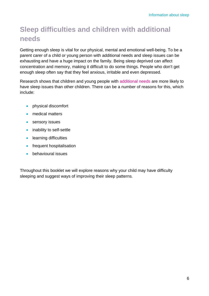# **Sleep difficulties and children with additional needs**

Getting enough sleep is vital for our physical, mental and emotional well-being. To be a parent carer of a child or young person with additional needs and sleep issues can be exhausting and have a huge impact on the family. Being sleep deprived can affect concentration and memory, making it difficult to do some things. People who don't get enough sleep often say that they feel anxious, irritable and even depressed.

Research shows that children and young people with additional needs are more likely to have sleep issues than other children. There can be a number of reasons for this, which include:

- physical discomfort
- medical matters
- sensory issues
- inability to self-settle
- learning difficulties
- frequent hospitalisation
- behavioural issues

Throughout this booklet we will explore reasons why your child may have difficulty sleeping and suggest ways of improving their sleep patterns.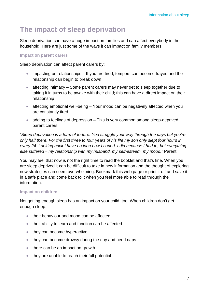# **The impact of sleep deprivation**

Sleep deprivation can have a huge impact on families and can affect everybody in the household. Here are just some of the ways it can impact on family members.

#### **Impact on parent carers**

Sleep deprivation can affect parent carers by:

- impacting on relationships If you are tired, tempers can become frayed and the relationship can begin to break down
- affecting intimacy Some parent carers may never get to sleep together due to taking it in turns to be awake with their child; this can have a direct impact on their relationship
- affecting emotional well-being Your mood can be negatively affected when you are constantly tired
- adding to feelings of depression This is very common among sleep-deprived parent carers

*"Sleep deprivation is a form of torture. You struggle your way through the days but you're only half there. For the first three to four years of his life my son only slept four hours in every 24. Looking back I have no idea how I coped. I did because I had to, but everything else suffered* – *my relationship with my husband, my self-esteem, my mood."* Parent

You may feel that now is not the right time to read the booklet and that's fine. When you are sleep deprived it can be difficult to take in new information and the thought of exploring new strategies can seem overwhelming. Bookmark this web page or print it off and save it in a safe place and come back to it when you feel more able to read through the information.

#### **Impact on children**

Not getting enough sleep has an impact on your child, too. When children don't get enough sleep:

- their behaviour and mood can be affected
- their ability to learn and function can be affected
- they can become hyperactive
- they can become drowsy during the day and need naps
- there can be an impact on growth
- they are unable to reach their full potential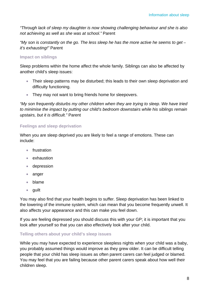*"Through lack of sleep my daughter is now showing challenging behaviour and she is also not achieving as well as she was at school."* Parent

"My son is constantly on the go. The less sleep he has the more active he seems to get – *it's exhausting!"* Parent

#### **Impact on siblings**

Sleep problems within the home affect the whole family. Siblings can also be affected by another child's sleep issues:

- Their sleep patterns may be disturbed; this leads to their own sleep deprivation and difficulty functioning.
- They may not want to bring friends home for sleepovers.

*"My son frequently disturbs my other children when they are trying to sleep. We have tried to minimise the impact by putting our child's bedroom downstairs while his siblings remain upstairs, but it is difficult."* Parent

#### **Feelings and sleep deprivation**

When you are sleep deprived you are likely to feel a range of emotions. These can include:

- frustration
- exhaustion
- depression
- anger
- blame
- guilt

You may also find that your health begins to suffer. Sleep deprivation has been linked to the lowering of the immune system, which can mean that you become frequently unwell. It also affects your appearance and this can make you feel down.

If you are feeling depressed you should discuss this with your GP; it is important that you look after yourself so that you can also effectively look after your child.

#### **Telling others about your child's sleep issues**

While you may have expected to experience sleepless nights when your child was a baby, you probably assumed things would improve as they grew older. It can be difficult telling people that your child has sleep issues as often parent carers can feel judged or blamed. You may feel that you are failing because other parent carers speak about how well their children sleep.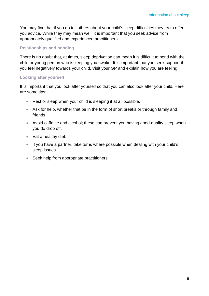You may find that if you do tell others about your child's sleep difficulties they try to offer you advice. While they may mean well, it is important that you seek advice from appropriately qualified and experienced practitioners.

#### **Relationships and bonding**

There is no doubt that, at times, sleep deprivation can mean it is difficult to bond with the child or young person who is keeping you awake. It is important that you seek support if you feel negatively towards your child. Visit your GP and explain how you are feeling.

#### **Looking after yourself**

It is important that you look after yourself so that you can also look after your child. Here are some tips:

- Rest or sleep when your child is sleeping if at all possible.
- Ask for help, whether that be in the form of short breaks or through family and friends.
- Avoid caffeine and alcohol; these can prevent you having good-quality sleep when you do drop off.
- Eat a healthy diet.
- If you have a partner, take turns where possible when dealing with your child's sleep issues.
- Seek help from appropriate practitioners.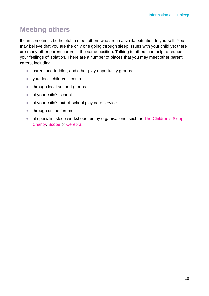# **Meeting others**

It can sometimes be helpful to meet others who are in a similar situation to yourself. You may believe that you are the only one going through sleep issues with your child yet there are many other parent carers in the same position. Talking to others can help to reduce your feelings of isolation. There are a number of places that you may meet other parent carers, including:

- parent and toddler, and other play opportunity groups
- your local children's centre
- through local support groups
- at your child's school
- at your child's out-of-school play care service
- through online forums
- at specialist sleep workshops run by organisations, such as The Children's Sleep Charity, Scope or Cerebra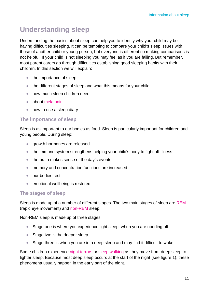# **Understanding sleep**

Understanding the basics about sleep can help you to identify why your child may be having difficulties sleeping. It can be tempting to compare your child's sleep issues with those of another child or young person, but everyone is different so making comparisons is not helpful. If your child is not sleeping you may feel as if you are failing. But remember, most parent carers go through difficulties establishing good sleeping habits with their children. In this section we will explain:

- the importance of sleep
- the different stages of sleep and what this means for your child
- how much sleep children need
- about melatonin
- how to use a sleep diary

#### **The importance of sleep**

Sleep is as important to our bodies as food. Sleep is particularly important for children and young people. During sleep:

- growth hormones are released
- the immune system strengthens helping your child's body to fight off illness
- the brain makes sense of the day's events
- memory and concentration functions are increased
- our bodies rest
- emotional wellbeing is restored

#### **The stages of sleep**

Sleep is made up of a number of different stages. The two main stages of sleep are REM (rapid eye movement) and non-REM sleep.

Non-REM sleep is made up of three stages:

- Stage one is where you experience light sleep; when you are nodding off.
- Stage two is the deeper sleep.
- Stage three is when you are in a deep sleep and may find it difficult to wake.

Some children experience night terrors or sleep walking as they move from deep sleep to lighter sleep. Because most deep sleep occurs at the start of the night (see figure 1), these phenomena usually happen in the early part of the night.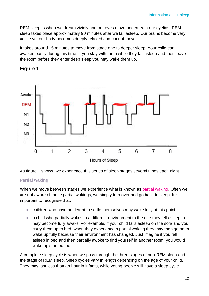REM sleep is when we dream vividly and our eyes move underneath our eyelids. REM sleep takes place approximately 90 minutes after we fall asleep. Our brains become very active yet our body becomes deeply relaxed and cannot move.

It takes around 15 minutes to move from stage one to deeper sleep. Your child can awaken easily during this time. If you stay with them while they fall asleep and then leave the room before they enter deep sleep you may wake them up.



### **Figure 1**

As figure 1 shows, we experience this series of sleep stages several times each night.

#### **Partial waking**

When we move between stages we experience what is known as partial waking. Often we are not aware of these partial wakings, we simply turn over and go back to sleep. It is important to recognise that:

- children who have not learnt to settle themselves may wake fully at this point
- a child who partially wakes in a different environment to the one they fell asleep in may become fully awake. For example, if your child falls asleep on the sofa and you carry them up to bed, when they experience a partial waking they may then go on to wake up fully because their environment has changed. Just imagine if you fell asleep in bed and then partially awoke to find yourself in another room, you would wake up startled too!

A complete sleep cycle is when we pass through the three stages of non-REM sleep and the stage of REM sleep. Sleep cycles vary in length depending on the age of your child. They may last less than an hour in infants, while young people will have a sleep cycle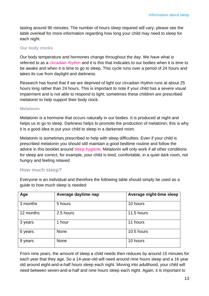lasting around 90 minutes. The number of hours sleep required will vary; please see the table overleaf for more information regarding how long your child may need to sleep for each night.

#### **Our body clocks**

Our body temperature and hormones change throughout the day. We have what is referred to as a circadian rhythm and it is this that indicates to our bodies when it is time to be awake and when it is time to go to sleep. This cycle runs over a period of 24 hours and takes its cue from daylight and darkness.

Research has found that if we are deprived of light our circadian rhythm runs at about 25 hours long rather than 24 hours. This is important to note if your child has a severe visual impairment and is not able to respond to light; sometimes these children are prescribed melatonin to help support their body clock.

#### **Melatonin**

Melatonin is a hormone that occurs naturally in our bodies. It is produced at night and helps us to go to sleep. Darkness helps to promote the production of melatonin; this is why it is a good idea to put your child to sleep in a darkened room.

Melatonin is sometimes prescribed to help with sleep difficulties. Even if your child is prescribed melatonin you should still maintain a good bedtime routine and follow the advice in this booklet around sleep hygiene. Melatonin will only work if all other conditions for sleep are correct, for example, your child is tired, comfortable, in a quiet dark room, not hungry and feeling relaxed.

### **How much sleep?**

Everyone is an individual and therefore the following table should simply be used as a guide to how much sleep is needed:

| Age       | Average daytime nap | Average night-time sleep |
|-----------|---------------------|--------------------------|
| 3 months  | 5 hours             | 10 hours                 |
| 12 months | 2.5 hours           | 11.5 hours               |
| 3 years   | 1 hour              | 11 hours                 |
| 6 years   | <b>None</b>         | 10.5 hours               |
| 9 years   | None                | 10 hours                 |

From nine years, the amount of sleep a child needs then reduces by around 15 minutes for each year that they age. So a 14-year-old will need around nine hours sleep and a 16 year old around eight-and-a-half hours sleep each night. Moving into adulthood, your child will need between seven-and-a-half and nine hours sleep each night. Again, it is important to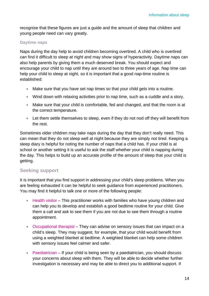recognise that these figures are just a guide and the amount of sleep that children and young people need can vary greatly.

#### **Daytime naps**

Naps during the day help to avoid children becoming overtired. A child who is overtired can find it difficult to sleep at night and may show signs of hyperactivity. Daytime naps can also help parents by giving them a much deserved break. You should expect and encourage your child to nap until they are around two to three years of age. Nap time can help your child to sleep at night, so it is important that a good nap-time routine is established:

- Make sure that you have set nap times so that your child gets into a routine.
- Wind down with relaxing activities prior to nap time, such as a cuddle and a story.
- Make sure that your child is comfortable, fed and changed, and that the room is at the correct temperature.
- Let them settle themselves to sleep, even if they do not nod off they will benefit from the rest.

Sometimes older children may take naps during the day that they don't really need. This can mean that they do not sleep well at night because they are simply not tired. Keeping a sleep diary is helpful for noting the number of naps that a child has. If your child is at school or another setting it is useful to ask the staff whether your child is napping during the day. This helps to build up an accurate profile of the amount of sleep that your child is getting.

### **Seeking support**

It is important that you find support in addressing your child's sleep problems. When you are feeling exhausted it can be helpful to seek guidance from experienced practitioners. You may find it helpful to talk one or more of the following people:

- Health visitor This practitioner works with families who have young children and can help you to develop and establish a good bedtime routine for your child. Give them a call and ask to see them if you are not due to see them through a routine appointment.
- Occupational therapist They can advise on sensory issues that can impact on a child's sleep. They may suggest, for example, that your child would benefit from using a weighted blanket at bedtime. A weighted blanket can help some children with sensory issues feel calmer and safer.
- Paediatrician If your child is being seen by a paediatrician, you should discuss your concerns about sleep with them. They will be able to decide whether further investigation is necessary and may be able to direct you to additional support. If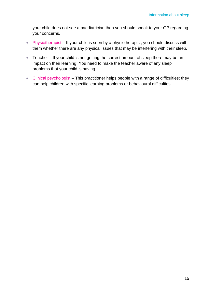your child does not see a paediatrician then you should speak to your GP regarding your concerns.

- Physiotherapist If your child is seen by a physiotherapist, you should discuss with them whether there are any physical issues that may be interfering with their sleep.
- Teacher If your child is not getting the correct amount of sleep there may be an impact on their learning. You need to make the teacher aware of any sleep problems that your child is having.
- Clinical psychologist This practitioner helps people with a range of difficulties; they can help children with specific learning problems or behavioural difficulties.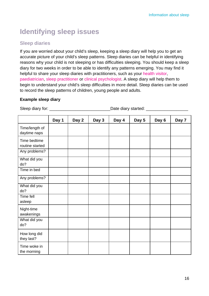# **Identifying sleep issues**

### **Sleep diaries**

If you are worried about your child's sleep, keeping a sleep diary will help you to get an accurate picture of your child's sleep patterns. Sleep diaries can be helpful in identifying reasons why your child is not sleeping or has difficulties sleeping. You should keep a sleep diary for two weeks in order to be able to identify any patterns emerging. You may find it helpful to share your sleep diaries with practitioners, such as your health visitor, paediatrician, sleep practitioner or clinical psychologist. A sleep diary will help them to begin to understand your child's sleep difficulties in more detail. Sleep diaries can be used to record the sleep patterns of children, young people and adults.

#### **Example sleep diary**

Sleep diary for: \_\_\_\_\_\_\_\_\_\_\_\_\_\_\_\_\_\_\_\_\_\_\_\_\_\_Date diary started: \_\_\_\_\_\_\_\_\_\_\_\_\_\_\_\_\_\_

|                                 | Day 1 | Day 2 | Day 3 | Day 4 | Day 5 | Day 6 | Day 7 |
|---------------------------------|-------|-------|-------|-------|-------|-------|-------|
| Time/length of<br>daytime naps  |       |       |       |       |       |       |       |
| Time bedtime<br>routine started |       |       |       |       |       |       |       |
| Any problems?                   |       |       |       |       |       |       |       |
| What did you<br>do?             |       |       |       |       |       |       |       |
| Time in bed                     |       |       |       |       |       |       |       |
| Any problems?                   |       |       |       |       |       |       |       |
| What did you<br>do?             |       |       |       |       |       |       |       |
| Time fell<br>asleep             |       |       |       |       |       |       |       |
| Night-time<br>awakenings        |       |       |       |       |       |       |       |
| What did you<br>do?             |       |       |       |       |       |       |       |
| How long did<br>they last?      |       |       |       |       |       |       |       |
| Time woke in<br>the morning     |       |       |       |       |       |       |       |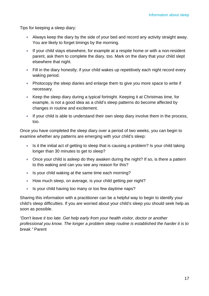Tips for keeping a sleep diary:

- Always keep the diary by the side of your bed and record any activity straight away. You are likely to forget timings by the morning.
- If your child stays elsewhere, for example at a respite home or with a non-resident parent, ask them to complete the diary, too. Mark on the diary that your child slept elsewhere that night.
- Fill in the diary honestly; if your child wakes up repetitively each night record every waking period.
- Photocopy the sleep diaries and enlarge them to give you more space to write if necessary.
- Keep the sleep diary during a typical fortnight. Keeping it at Christmas time, for example, is not a good idea as a child's sleep patterns do become affected by changes in routine and excitement.
- If your child is able to understand their own sleep diary involve them in the process, too.

Once you have completed the sleep diary over a period of two weeks, you can begin to examine whether any patterns are emerging with your child's sleep:

- Is it the initial act of getting to sleep that is causing a problem? Is your child taking longer than 30 minutes to get to sleep?
- Once your child is asleep do they awaken during the night? If so, is there a pattern to this waking and can you see any reason for this?
- Is your child waking at the same time each morning?
- How much sleep, on average, is your child getting per night?
- Is your child having too many or too few daytime naps?

Sharing this information with a practitioner can be a helpful way to begin to identify your child's sleep difficulties. If you are worried about your child's sleep you should seek help as soon as possible.

*"Don't leave it too late. Get help early from your health visitor, doctor or another professional you know. The longer a problem sleep routine is established the harder it is to break."* Parent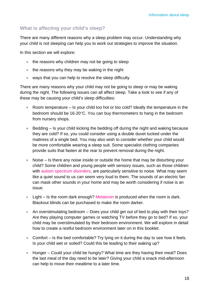### **What is affecting your child's sleep?**

There are many different reasons why a sleep problem may occur. Understanding why your child is not sleeping can help you to work out strategies to improve the situation.

In this section we will explore:

- the reasons why children may not be going to sleep
- the reasons why they may be waking in the night
- ways that you can help to resolve the sleep difficulty

There are many reasons why your child may not be going to sleep or may be waking during the night. The following issues can all affect sleep. Take a look to see if any of these may be causing your child's sleep difficulties:

- Room temperature Is your child too hot or too cold? Ideally the temperature in the bedroom should be 16-20°C. You can buy thermometers to hang in the bedroom from nursery shops.
- Bedding Is your child kicking the bedding off during the night and waking because they are cold? If so, you could consider using a double duvet tucked under the mattress of a single bed. You may also wish to consider whether your child would be more comfortable wearing a sleep suit. Some specialist clothing companies provide suits that fasten at the rear to prevent removal during the night.
- Noise Is there any noise inside or outside the home that may be disturbing your child? Some children and young people with sensory issues, such as those children with autism spectrum disorders, are particularly sensitive to noise. What may seem like a quiet sound to us can seem very loud to them. The sounds of an electric fan can mask other sounds in your home and may be worth considering if noise is an issue.
- Light Is the room dark enough? Melatonin is produced when the room is dark. Blackout blinds can be purchased to make the room darker.
- An overstimulating bedroom Does your child get out of bed to play with their toys? Are they playing computer games or watching TV before they go to bed? If so, your child may be overstimulated by their bedroom environment. We will explore in detail how to create a restful bedroom environment later on in this booklet.
- Comfort Is the bed comfortable? Try lying on it during the day to see how it feels. Is your child wet or soiled? Could this be leading to their waking up?
- Hunger Could your child be hungry? What time are they having their meal? Does the last meal of the day need to be later? Giving your child a snack mid-afternoon can help to move their mealtime to a later time.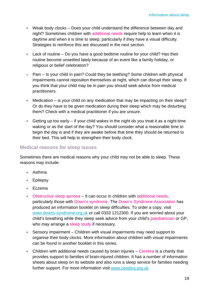- Weak body clocks Does your child understand the difference between day and night? Sometimes children with additional needs require help to learn when it is daytime and when it is time to sleep, particularly if they have a visual difficulty. Strategies to reinforce this are discussed in the next section.
- Lack of routine Do you have a good bedtime routine for your child? Has their routine become unsettled lately because of an event like a family holiday, or religious or belief celebration?
- Pain Is your child in pain? Could they be teething? Some children with physical impairments cannot reposition themselves at night, which can disrupt their sleep. If you think that your child may be in pain you should seek advice from medical practitioners.
- Medication is your child on any medication that may be impacting on their sleep? Or do they have to be given medication during their sleep which may be disturbing them? Check with a medical practitioner if you are unsure.
- Getting up too early  $-$  if your child wakes in the night do you treat it as a night-time waking or as the start of the day? You should consider what a reasonable time to begin the day is and if they are awake before that time they should be returned to their bed. This will help to strengthen their body clock.

### **Medical reasons for sleep issues**

Sometimes there are medical reasons why your child may not be able to sleep. These reasons may include:

- Asthma
- Epilepsy
- Eczema
- Obstructive sleep apnoea It can occur in children with additional needs, particularly those with Down's syndrome. The Down's Syndrome Association has produced an information booklet on sleep difficulties. To order a copy, visit www.downs-syndrome.org.uk or call 0333 1212300. If you are worried about your child's breathing while they sleep seek advice from your child's paediatrician or GP, who may arrange a sleep study if necessary.
- Sensory impairment Children with visual impairments may need support to organise their body clocks. More information about children with visual impairments can be found in another booklet in this series.
- Children with additional needs caused by brain injuries Cerebra is a charity that provides support to families of brain-injured children. It has a number of information sheets about sleep on its website and also runs a sleep service for families needing further support. For more information visit www.cerebra.org.uk.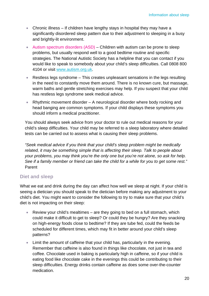- Chronic illness If children have lengthy stays in hospital they may have a significantly disordered sleep pattern due to their adjustment to sleeping in a busy and brightly-lit environment.
- Autism spectrum disorders (ASD) Children with autism can be prone to sleep problems, but usually respond well to a good bedtime routine and specific strategies. The National Autistic Society has a helpline that you can contact if you would like to speak to somebody about your child's sleep difficulties. Call 0808 800 4104 or visit www.autism.org.uk.
- Restless legs syndrome This creates unpleasant sensations in the legs resulting in the need to constantly move them around. There is no known cure, but massage, warm baths and gentle stretching exercises may help. If you suspect that your child has restless legs syndrome seek medical advice.
- Rhythmic movement disorder A neurological disorder where body rocking and head banging are common symptoms. If your child displays these symptoms you should inform a medical practitioner.

You should always seek advice from your doctor to rule out medical reasons for your child's sleep difficulties. Your child may be referred to a sleep laboratory where detailed tests can be carried out to assess what is causing their sleep problems.

*"Seek medical advice if you think that your child's sleep problem might be medically related, it may be something simple that is affecting their sleep. Talk to people about your problems, you may think you're the only one but you're not alone, so ask for help. See if a family member or friend can take the child for a while for you to get some rest."*  Parent

### **Diet and sleep**

What we eat and drink during the day can affect how well we sleep at night. If your child is seeing a dietician you should speak to the dietician before making any adjustment to your child's diet. You might want to consider the following to try to make sure that your child's diet is not impacting on their sleep:

- Review your child's mealtimes are they going to bed on a full stomach, which could make it difficult to get to sleep? Or could they be hungry? Are they snacking on high-energy foods close to bedtime? If they are tube fed, could the feeds be scheduled for different times, which may fit in better around your child's sleep patterns?
- Limit the amount of caffeine that your child has, particularly in the evening. Remember that caffeine is also found in things like chocolate, not just in tea and coffee. Chocolate used in baking is particularly high in caffeine, so if your child is eating food like chocolate cake in the evenings this could be contributing to their sleep difficulties. Energy drinks contain caffeine as does some over-the-counter medication.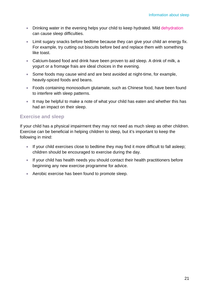- Drinking water in the evening helps your child to keep hydrated. Mild dehydration can cause sleep difficulties.
- Limit sugary snacks before bedtime because they can give your child an energy fix. For example, try cutting out biscuits before bed and replace them with something like toast.
- Calcium-based food and drink have been proven to aid sleep. A drink of milk, a yogurt or a fromage frais are ideal choices in the evening.
- Some foods may cause wind and are best avoided at night-time, for example, heavily-spiced foods and beans.
- Foods containing monosodium glutamate, such as Chinese food, have been found to interfere with sleep patterns.
- It may be helpful to make a note of what your child has eaten and whether this has had an impact on their sleep.

#### **Exercise and sleep**

If your child has a physical impairment they may not need as much sleep as other children. Exercise can be beneficial in helping children to sleep, but it's important to keep the following in mind:

- If your child exercises close to bedtime they may find it more difficult to fall asleep; children should be encouraged to exercise during the day.
- If your child has health needs you should contact their health practitioners before beginning any new exercise programme for advice.
- Aerobic exercise has been found to promote sleep.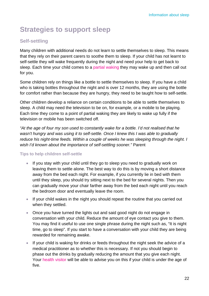# **Strategies to support sleep**

### **Self-settling**

Many children with additional needs do not learn to settle themselves to sleep. This means that they rely on their parent carers to soothe them to sleep. If your child has not learnt to self-settle they will wake frequently during the night and need your help to get back to sleep. Each time your child comes to a partial waking they may wake up and then call out for you.

Some children rely on things like a bottle to settle themselves to sleep. If you have a child who is taking bottles throughout the night and is over 12 months, they are using the bottle for comfort rather than because they are hungry, they need to be taught how to self-settle.

Other children develop a reliance on certain conditions to be able to settle themselves to sleep. A child may need the television to be on, for example, or a mobile to be playing. Each time they come to a point of partial waking they are likely to wake up fully if the television or mobile has been switched off.

*"At the age of four my son used to constantly wake for a bottle. I'd not realised that he wasn't hungry and was using it to self-settle. Once I knew this I was able to gradually reduce his night-time feeds. Within a couple of weeks he was sleeping through the night. I wish I'd known about the importance of self-settling sooner."* Parent

#### **Tips to help children self-settle**

- If you stay with your child until they go to sleep you need to gradually work on leaving them to settle alone. The best way to do this is by moving a short distance away from the bed each night. For example, if you currently lie in bed with them until they sleep, you should try sitting next to the bed for several nights. Then you can gradually move your chair farther away from the bed each night until you reach the bedroom door and eventually leave the room.
- If your child wakes in the night you should repeat the routine that you carried out when they settled.
- Once you have turned the lights out and said good night do not engage in conversation with your child. Reduce the amount of eye contact you give to them. You may find it useful to use one single phrase during the night such as, "It is night time, go to sleep". If you start to have a conversation with your child they are being rewarded for remaining awake.
- If your child is waking for drinks or feeds throughout the night seek the advice of a medical practitioner as to whether this is necessary. If not you should begin to phase out the drinks by gradually reducing the amount that you give each night. Your health visitor will be able to advise you on this if your child is under the age of five.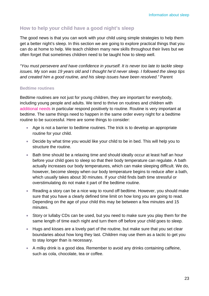### **How to help your child have a good night's sleep**

The good news is that you can work with your child using simple strategies to help them get a better night's sleep. In this section we are going to explore practical things that you can do at home to help. We teach children many new skills throughout their lives but we often forget that sometimes children need to be taught how to sleep well.

*"You must persevere and have confidence in yourself. It is never too late to tackle sleep issues. My son was 19 years old and I thought he'd never sleep. I followed the sleep tips and created him a good routine, and his sleep issues have been resolved."* Parent

#### **Bedtime routines**

Bedtime routines are not just for young children, they are important for everybody, including young people and adults. We tend to thrive on routines and children with additional needs in particular respond positively to routine. Routine is very important at bedtime. The same things need to happen in the same order every night for a bedtime routine to be successful. Here are some things to consider:

- Age is not a barrier to bedtime routines. The trick is to develop an appropriate routine for your child.
- Decide by what time you would like your child to be in bed. This will help you to structure the routine.
- Bath time should be a relaxing time and should ideally occur at least half an hour before your child goes to sleep so that their body temperature can regulate. A bath actually increases our body temperatures, which can make sleeping difficult. We do, however, become sleepy when our body temperature begins to reduce after a bath, which usually takes about 30 minutes. If your child finds bath time stressful or overstimulating do not make it part of the bedtime routine.
- Reading a story can be a nice way to round off bedtime. However, you should make sure that you have a clearly defined time limit on how long you are going to read. Depending on the age of your child this may be between a few minutes and 15 minutes.
- Story or lullaby CDs can be used, but you need to make sure you play them for the same length of time each night and turn them off before your child goes to sleep.
- Hugs and kisses are a lovely part of the routine, but make sure that you set clear boundaries about how long they last. Children may use them as a tactic to get you to stay longer than is necessary.
- A milky drink is a good idea. Remember to avoid any drinks containing caffeine, such as cola, chocolate, tea or coffee.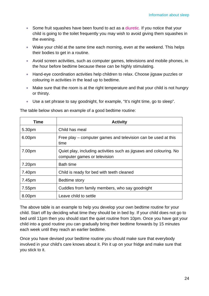- Some fruit squashes have been found to act as a diuretic. If you notice that your child is going to the toilet frequently you may wish to avoid giving them squashes in the evening.
- Wake your child at the same time each morning, even at the weekend. This helps their bodies to get in a routine.
- Avoid screen activities, such as computer games, televisions and mobile phones, in the hour before bedtime because these can be highly stimulating.
- Hand-eye coordination activities help children to relax. Choose jigsaw puzzles or colouring in activities in the lead up to bedtime.
- Make sure that the room is at the right temperature and that your child is not hungry or thirsty.
- Use a set phrase to say goodnight, for example, "It's night time, go to sleep".

| Time   | <b>Activity</b>                                                                                    |
|--------|----------------------------------------------------------------------------------------------------|
| 5.30pm | Child has meal                                                                                     |
| 6.00pm | Free play – computer games and television can be used at this<br>time                              |
| 7.00pm | Quiet play, including activities such as jigsaws and colouring. No<br>computer games or television |
| 7.20pm | <b>Bath time</b>                                                                                   |
| 7.40pm | Child is ready for bed with teeth cleaned                                                          |
| 7.45pm | Bedtime story                                                                                      |
| 7.55pm | Cuddles from family members, who say goodnight                                                     |
| 8.00pm | Leave child to settle                                                                              |

The table below shows an example of a good bedtime routine:

The above table is an example to help you develop your own bedtime routine for your child. Start off by deciding what time they should be in bed by. If your child does not go to bed until 11pm then you should start the quiet routine from 10pm. Once you have got your child into a good routine you can gradually bring their bedtime forwards by 15 minutes each week until they reach an earlier bedtime.

Once you have devised your bedtime routine you should make sure that everybody involved in your child's care knows about it. Pin it up on your fridge and make sure that you stick to it.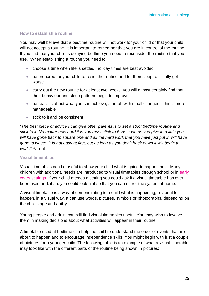#### **How to establish a routine**

You may well believe that a bedtime routine will not work for your child or that your child will not accept a routine. It is important to remember that you are in control of the routine. If you find that your child is delaying bedtime you need to reconsider the routine that you use. When establishing a routine you need to:

- choose a time when life is settled, holiday times are best avoided
- be prepared for your child to resist the routine and for their sleep to initially get worse
- carry out the new routine for at least two weeks, you will almost certainly find that their behaviour and sleep patterns begin to improve
- be realistic about what you can achieve, start off with small changes if this is more manageable
- stick to it and be consistent

*"The best piece of advice I can give other parents is to set a strict bedtime routine and stick to it! No matter how hard it is you must stick to it. As soon as you give in a little you*  will have gone back to square one and all the hard work that you have just put in will have *gone to waste. It is not easy at first, but as long as you don't back down it will begin to work."* Parent

#### **Visual timetables**

Visual timetables can be useful to show your child what is going to happen next. Many children with additional needs are introduced to visual timetables through school or in early years settings. If your child attends a setting you could ask if a visual timetable has ever been used and, if so, you could look at it so that you can mirror the system at home.

A visual timetable is a way of demonstrating to a child what is happening, or about to happen, in a visual way. It can use words, pictures, symbols or photographs, depending on the child's age and ability.

Young people and adults can still find visual timetables useful. You may wish to involve them in making decisions about what activities will appear in their routine.

A timetable used at bedtime can help the child to understand the order of events that are about to happen and to encourage independence skills. You might begin with just a couple of pictures for a younger child. The following table is an example of what a visual timetable may look like with the different parts of the routine being shown in pictures: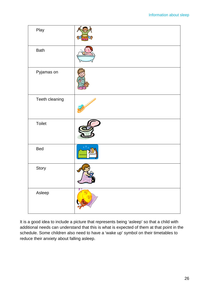| Play           |                                  |
|----------------|----------------------------------|
| <b>Bath</b>    |                                  |
| Pyjamas on     |                                  |
| Teeth cleaning |                                  |
| Toilet         |                                  |
| <b>Bed</b>     |                                  |
| Story          |                                  |
| Asleep         | $\mathbb{Z}_{\geq}^{\mathbb{Z}}$ |

It is a good idea to include a picture that represents being 'asleep' so that a child with additional needs can understand that this is what is expected of them at that point in the schedule. Some children also need to have a 'wake up' symbol on their timetables to reduce their anxiety about falling asleep.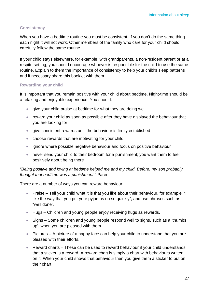#### **Consistency**

When you have a bedtime routine you must be consistent. If you don't do the same thing each night it will not work. Other members of the family who care for your child should carefully follow the same routine.

If your child stays elsewhere, for example, with grandparents, a non-resident parent or at a respite setting, you should encourage whoever is responsible for the child to use the same routine. Explain to them the importance of consistency to help your child's sleep patterns and if necessary share this booklet with them.

#### **Rewarding your child**

It is important that you remain positive with your child about bedtime. Night-time should be a relaxing and enjoyable experience. You should:

- give your child praise at bedtime for what they are doing well
- reward your child as soon as possible after they have displayed the behaviour that you are looking for
- give consistent rewards until the behaviour is firmly established
- choose rewards that are motivating for your child
- ignore where possible negative behaviour and focus on positive behaviour
- never send your child to their bedroom for a punishment; you want them to feel positively about being there

#### *"Being positive and loving at bedtime helped me and my child. Before, my son probably thought that bedtime was a punishment."* Parent

There are a number of ways you can reward behaviour:

- Praise Tell your child what it is that you like about their behaviour, for example, "I like the way that you put your pyjamas on so quickly", and use phrases such as "well done".
- Hugs Children and young people enjoy receiving hugs as rewards.
- Signs Some children and young people respond well to signs, such as a 'thumbs' up', when you are pleased with them.
- Pictures A picture of a happy face can help your child to understand that you are pleased with their efforts.
- Reward charts These can be used to reward behaviour if your child understands that a sticker is a reward. A reward chart is simply a chart with behaviours written on it. When your child shows that behaviour then you give them a sticker to put on their chart.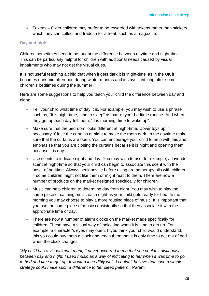• Tokens – Older children may prefer to be rewarded with tokens rather than stickers, which they can collect and trade in for a treat, such as a magazine.

#### **Day and night**

Children sometimes need to be taught the difference between daytime and night-time. This can be particularly helpful for children with additional needs caused by visual impairments who may not get the visual clues.

It is not useful teaching a child that when it gets dark it is 'night-time' as in the UK it becomes dark mid-afternoon during winter months and it stays light long after some children's bedtimes during the summer.

Here are some suggestions to help you teach your child the difference between day and night:

- Tell your child what time of day it is. For example, you may wish to use a phrase such as, "It is night-time, time to sleep" as part of your bedtime routine. And when they get up each day tell them, "It is morning, time to wake up".
- Make sure that the bedroom looks different at night-time. Cover toys up if necessary. Close the curtains at night to make the room dark. In the daytime make sure that the curtains are open. You can encourage your child to help with this and emphasise that you are closing the curtains because it is night and opening them because it is day.
- Use scents to indicate night and day. You may wish to use, for example, a lavender scent at night-time so that your child can begin to associate this scent with the onset of bedtime. Always seek advice before using aromatherapy oils with children – some children might not like them or might react to them. There are now a number of products on the market designed specifically for children.
- Music can help children to determine day from night. You may wish to play the same piece of calming music each night as your child gets ready for bed. In the morning you may choose to play a more rousing piece of music. It is important that you use the same piece of music consistently so that they associate it with the appropriate time of day.
- There are now a number of alarm clocks on the market made specifically for children. These have a visual way of indicating when it is time to get up. For example, a character's eyes may open. If you think your child would understand, this you could buy them a clock and teach them that it is only time to get out of bed when the clock changes.

*"My child has a visual impairment; it never occurred to me that she couldn't distinguish between day and night. I used music as a way of indicating to her when it was time to go to bed and time to get up. It worked incredibly well. I couldn't believe that such a simple strategy could make such a difference to her sleep pattern."* Parent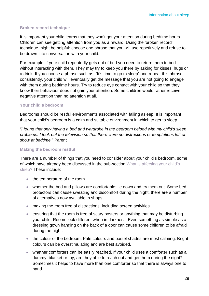#### **Broken record technique**

It is important your child learns that they won't get your attention during bedtime hours. Children can see getting attention from you as a reward. Using the 'broken record' technique might be helpful: choose one phrase that you will use repetitively and refuse to be drawn into conversation with your child.

For example, if your child repeatedly gets out of bed you need to return them to bed without interacting with them. They may try to keep you there by asking for kisses, hugs or a drink. If you choose a phrase such as, "It's time to go to sleep" and repeat this phrase consistently, your child will eventually get the message that you are not going to engage with them during bedtime hours. Try to reduce eye contact with your child so that they know their behaviour does not gain your attention. Some children would rather receive negative attention than no attention at all.

#### **Your child's bedroom**

Bedrooms should be restful environments associated with falling asleep. It is important that your child's bedroom is a calm and suitable environment in which to get to sleep.

*"I found that only having a bed and wardrobe in the bedroom helped with my child's sleep problems. I took out the television so that there were no distractions or temptations left on show at bedtime."* Parent

#### **Making the bedroom restful**

There are a number of things that you need to consider about your child's bedroom, some of which have already been discussed in the sub-section What is affecting your child's sleep? These include:

- the temperature of the room
- whether the bed and pillows are comfortable; lie down and try them out. Some bed protectors can cause sweating and discomfort during the night, there are a number of alternatives now available in shops.
- making the room free of distractions, including screen activities
- ensuring that the room is free of scary posters or anything that may be disturbing your child. Rooms look different when in darkness. Even something as simple as a dressing gown hanging on the back of a door can cause some children to be afraid during the night.
- the colour of the bedroom. Pale colours and pastel shades are most calming. Bright colours can be overstimulating and are best avoided.
- whether comforters can be easily reached. If your child uses a comforter such as a dummy, blanket or toy, are they able to reach out and get them during the night? Sometimes it helps to have more than one comforter so that there is always one to hand.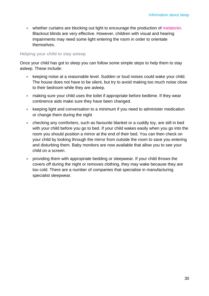• whether curtains are blocking out light to encourage the production of melatonin. Blackout blinds are very effective. However, children with visual and hearing impairments may need some light entering the room in order to orientate themselves.

#### **Helping your child to stay asleep**

Once your child has got to sleep you can follow some simple steps to help them to stay asleep. These include:

- keeping noise at a reasonable level. Sudden or loud noises could wake your child. The house does not have to be silent, but try to avoid making too much noise close to their bedroom while they are asleep.
- making sure your child uses the toilet if appropriate before bedtime. If they wear continence aids make sure they have been changed.
- keeping light and conversation to a minimum if you need to administer medication or change them during the night
- checking any comforters, such as favourite blanket or a cuddly toy, are still in bed with your child before you go to bed. If your child wakes easily when you go into the room you should position a mirror at the end of their bed. You can then check on your child by looking through the mirror from outside the room to save you entering and disturbing them. Baby monitors are now available that allow you to see your child on a screen.
- providing them with appropriate bedding or sleepwear. If your child throws the covers off during the night or removes clothing, they may wake because they are too cold. There are a number of companies that specialise in manufacturing specialist sleepwear.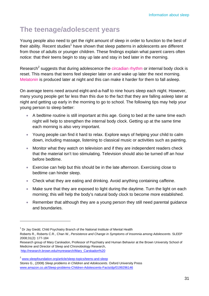# **The teenage/adolescent years**

Young people also need to get the right amount of sleep in order to function to the best of their ability. Recent studies<sup>1</sup> have shown that sleep patterns in adolescents are different from those of adults or younger children. These findings explain what parent carers often notice: that their teens begin to stay up late and stay in bed later in the morning.

Research<sup>2</sup> suggests that during adolescence the circadian rhythm or internal body clock is reset. This means that teens feel sleepier later on and wake up later the next morning. Melatonin is produced later at night and this can make it harder for them to fall asleep.

On average teens need around eight-and-a-half to nine hours sleep each night. However, many young people get far less than this due to the fact that they are falling asleep later at night and getting up early in the morning to go to school. The following tips may help your young person to sleep better:

- A bedtime routine is still important at this age. Going to bed at the same time each night will help to strengthen the internal body clock. Getting up at the same time each morning is also very important.
- Young people can find it hard to relax. Explore ways of helping your child to calm down, including massage, listening to classical music or activities such as painting.
- Monitor what they watch on television and if they are independent readers check that the material isn't too stimulating. Television should also be turned off an hour before bedtime.
- Exercise can help but this should be in the late afternoon. Exercising close to bedtime can hinder sleep.
- Check what they are eating and drinking. Avoid anything containing caffeine.
- Make sure that they are exposed to light during the daytime. Turn the light on each morning; this will help the body's natural body clock to become more established.
- Remember that although they are a young person they still need parental guidance and boundaries.

 $1$  Dr Jay Giedd, Child Psychiatry Branch of the National Institute of Mental Health

Roberts R., Roberts C.R., Chan W., *Persistence and Change in Symptoms of Insomnia among Adolescents*. SLEEP 2008;31(2): 177-184

Research group of Mary Carskadon, Professor of Psychiatry and Human Behavior at the Brown University School of Medicine and Director of Sleep and Chronobiology Research, http://research.brown.edu/myresearch/Mary\_Carskadon%20

<sup>&</sup>lt;sup>2</sup> www.sleepfoundation.org/article/sleep-topics/teens-and-sleep

Stores G., (2008) *Sleep problems in Children and Adolescents.* Oxford University Press www.amazon.co.uk/Sleep-problems-Children-Adolescents-Facts/dp/0199296146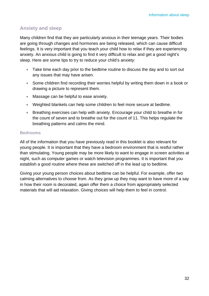### **Anxiety and sleep**

Many children find that they are particularly anxious in their teenage years. Their bodies are going through changes and hormones are being released, which can cause difficult feelings. It is very important that you teach your child how to relax if they are experiencing anxiety. An anxious child is going to find it very difficult to relax and get a good night's sleep. Here are some tips to try to reduce your child's anxiety:

- Take time each day prior to the bedtime routine to discuss the day and to sort out any issues that may have arisen.
- Some children find recording their worries helpful by writing them down in a book or drawing a picture to represent them.
- Massage can be helpful to ease anxiety.
- Weighted blankets can help some children to feel more secure at bedtime.
- Breathing exercises can help with anxiety. Encourage your child to breathe in for the count of seven and to breathe out for the count of 11. This helps regulate the breathing patterns and calms the mind.

#### **Bedrooms**

All of the information that you have previously read in this booklet is also relevant for young people. It is important that they have a bedroom environment that is restful rather than stimulating. Young people may be more likely to want to engage in screen activities at night, such as computer games or watch television programmes. It is important that you establish a good routine where these are switched off in the lead up to bedtime.

Giving your young person choices about bedtime can be helpful. For example, offer two calming alternatives to choose from. As they grow up they may want to have more of a say in how their room is decorated, again offer them a choice from appropriately selected materials that will aid relaxation. Giving choices will help them to feel in control.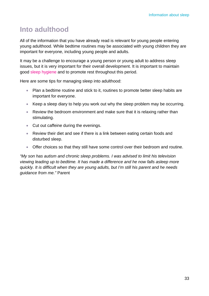### **Into adulthood**

All of the information that you have already read is relevant for young people entering young adulthood. While bedtime routines may be associated with young children they are important for everyone, including young people and adults.

It may be a challenge to encourage a young person or young adult to address sleep issues, but it is very important for their overall development. It is important to maintain good sleep hygiene and to promote rest throughout this period.

Here are some tips for managing sleep into adulthood:

- Plan a bedtime routine and stick to it, routines to promote better sleep habits are important for everyone.
- Keep a sleep diary to help you work out why the sleep problem may be occurring.
- Review the bedroom environment and make sure that it is relaxing rather than stimulating.
- Cut out caffeine during the evenings.
- Review their diet and see if there is a link between eating certain foods and disturbed sleep.
- Offer choices so that they still have some control over their bedroom and routine.

*"My son has autism and chronic sleep problems. I was advised to limit his television viewing leading up to bedtime. It has made a difference and he now falls asleep more quickly. It is difficult when they are young adults, but I'm still his parent and he needs guidance from me."* Parent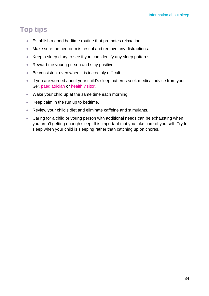## **Top tips**

- Establish a good bedtime routine that promotes relaxation.
- Make sure the bedroom is restful and remove any distractions.
- Keep a sleep diary to see if you can identify any sleep patterns.
- Reward the young person and stay positive.
- Be consistent even when it is incredibly difficult.
- If you are worried about your child's sleep patterns seek medical advice from your GP, paediatrician or health visitor.
- Wake your child up at the same time each morning.
- Keep calm in the run up to bedtime.
- Review your child's diet and eliminate caffeine and stimulants.
- Caring for a child or young person with additional needs can be exhausting when you aren't getting enough sleep. It is important that you take care of yourself. Try to sleep when your child is sleeping rather than catching up on chores.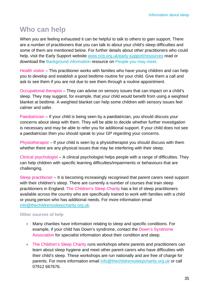## **Who can help**

When you are feeling exhausted it can be helpful to talk to others to gain support. There are a number of practitioners that you can talk to about your child's sleep difficulties and some of them are mentioned below. For further details about other practitioners who could help, visit the Early Support website www.ncb.org.uk/early-support/resources read or download the Background information resource on People you may meet.

Health visitor – This practitioner works with families who have young children and can help you to develop and establish a good bedtime routine for your child. Give them a call and ask to see them if you are not due to see them through a routine appointment.

Occupational therapist – They can advise on sensory issues that can impact on a child's sleep. They may suggest, for example, that your child would benefit from using a weighted blanket at bedtime. A weighted blanket can help some children with sensory issues feel calmer and safer.

Paediatrician – If your child is being seen by a paediatrician, you should discuss your concerns about sleep with them. They will be able to decide whether further investigation is necessary and may be able to refer you for additional support. If your child does not see a paediatrician then you should speak to your GP regarding your concerns.

Physiotherapist – If your child is seen by a physiotherapist you should discuss with them whether there are any physical issues that may be interfering with their sleep.

Clinical psychologist – A clinical psychologist helps people with a range of difficulties. They can help children with specific learning difficulties/impairments or behaviours that are challenging.

Sleep practitioner – It is becoming increasingly recognised that parent carers need support with their children's sleep. There are currently a number of courses that train sleep practitioners in England. The Children's Sleep Charity has a list of sleep practitioners available across the country who are specifically trained to work with families with a child or young person who has additional needs. For more information email info@thechildrenssleepcharity.org.uk.

#### **Other sources of help**

- Many charities have information relating to sleep and specific conditions. For example, if your child has Down's syndrome, contact the Down's Syndrome Association for specialist information about their condition and sleep.
- The Children's Sleep Charity runs workshops where parents and practitioners can learn about sleep hygiene and meet other parent carers who have difficulties with their child's sleep. These workshops are run nationally and are free of charge for parents. For more information email info@thechildrenssleepcharity.org.uk or call 07912 667676.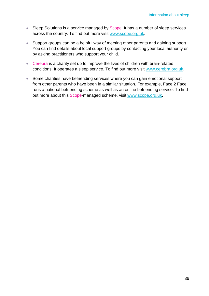- Sleep Solutions is a service managed by Scope. It has a number of sleep services across the country. To find out more visit www.scope.org.uk.
- Support groups can be a helpful way of meeting other parents and gaining support. You can find details about local support groups by contacting your local authority or by asking practitioners who support your child.
- Cerebra is a charity set up to improve the lives of children with brain-related conditions. It operates a sleep service. To find out more visit www.cerebra.org.uk.
- Some charities have befriending services where you can gain emotional support from other parents who have been in a similar situation. For example, Face 2 Face runs a national befriending scheme as well as an online befriending service. To find out more about this Scope-managed scheme, visit www.scope.org.uk.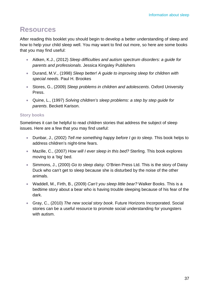### **Resources**

After reading this booklet you should begin to develop a better understanding of sleep and how to help your child sleep well. You may want to find out more, so here are some books that you may find useful:

- Aitken, K.J., (2012) *Sleep difficulties and autism spectrum disorders: a guide for parents and professionals*. Jessica Kingsley Publishers
- Durand, M.V., (1998) *Sleep better! A guide to improving sleep for children with special needs*. Paul H. Brookes
- Stores, G., (2009) *Sleep problems in children and adolescents*. Oxford University Press.
- Quine, L., (1997) *Solving children's sleep problems: a step by step guide for parents*. Beckett Karison.

#### **Story books**

Sometimes it can be helpful to read children stories that address the subject of sleep issues. Here are a few that you may find useful:

- Dunbar, J., (2002) *Tell me something happy before I go to sleep*. This book helps to address children's night-time fears.
- Mazille, C., (2007) *How will I ever sleep in this bed?* Sterling. This book explores moving to a 'big' bed.
- Simmons, J., (2000) *Go to sleep daisy*. O'Brien Press Ltd. This is the story of Daisy Duck who can't get to sleep because she is disturbed by the noise of the other animals.
- Waddell, M., Firth, B., (2009) *Can't you sleep little bear?* Walker Books. This is a bedtime story about a bear who is having trouble sleeping because of his fear of the dark.
- Gray, C., (2010) *The new social story book*. Future Horizons Incorporated. Social stories can be a useful resource to promote social understanding for youngsters with autism.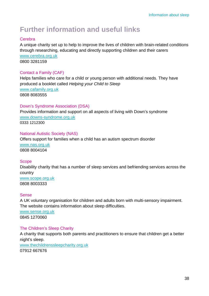# **Further information and useful links**

#### **Cerebra**

A unique charity set up to help to improve the lives of children with brain-related conditions through researching, educating and directly supporting children and their carers www.cerebra.org.uk 0800 3281159

#### Contact a Family (CAF)

Helps families who care for a child or young person with additional needs. They have produced a booklet called *Helping your Child to Sleep* www.cafamily.org.uk 0808 8083555

#### Down's Syndrome Association (DSA)

Provides information and support on all aspects of living with Down's syndrome www.downs-syndrome.org.uk 0333 1212300

#### National Autistic Society (NAS)

Offers support for families when a child has an autism spectrum disorder www.nas.org.uk 0808 8004104

#### **Scope**

Disability charity that has a number of sleep services and befriending services across the country

www.scope.org.uk 0808 8003333

#### Sense

A UK voluntary organisation for children and adults born with multi-sensory impairment. The website contains information about sleep difficulties.

www.sense.org.uk 0845 1270060

#### The Children's Sleep Charity

A charity that supports both parents and practitioners to ensure that children get a better night's sleep.

www.thechildrenssleepcharity.org.uk 07912 667676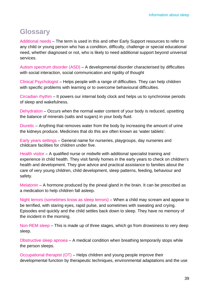## **Glossary**

Additional needs – The term is used in this and other Early Support resources to refer to any child or young person who has a condition, difficulty, challenge or special educational need, whether diagnosed or not, who is likely to need additional support beyond universal services.

Autism spectrum disorder (ASD) – A developmental disorder characterised by difficulties with social interaction, social communication and rigidity of thought

Clinical Psychologist – Helps people with a range of difficulties. They can help children with specific problems with learning or to overcome behavioural difficulties.

Circadian rhythm – It powers our internal body clock and helps us to synchronise periods of sleep and wakefulness.

Dehydration – Occurs when the normal water content of your body is reduced, upsetting the balance of minerals (salts and sugars) in your body fluid.

Diuretic – Anything that removes water from the body by increasing the amount of urine the kidneys produce. Medicines that do this are often known as 'water tablets'.

Early years settings – General name for nurseries, playgroups, day nurseries and childcare facilities for children under five.

Health visitor – A qualified nurse or midwife with additional specialist training and experience in child health. They visit family homes in the early years to check on children's health and development. They give advice and practical assistance to families about the care of very young children, child development, sleep patterns, feeding, behaviour and safety.

Melatonin – A hormone produced by the pineal gland in the brain. It can be prescribed as a medication to help children fall asleep.

Night terrors (sometimes know as sleep terrors) – When a child may scream and appear to be terrified, with staring eyes, rapid pulse, and sometimes with sweating and crying. Episodes end quickly and the child settles back down to sleep. They have no memory of the incident in the morning.

Non-REM sleep – This is made up of three stages, which go from drowsiness to very deep sleep.

Obstructive sleep apnoea – A medical condition when breathing temporarily stops while the person sleeps.

Occupational therapist (OT) – Helps children and young people improve their developmental function by therapeutic techniques, environmental adaptations and the use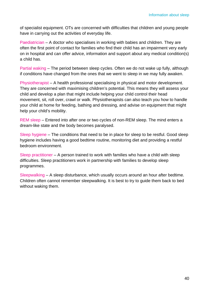of specialist equipment. OTs are concerned with difficulties that children and young people have in carrying out the activities of everyday life.

Paediatrician – A doctor who specialises in working with babies and children. They are often the first point of contact for families who find their child has an impairment very early on in hospital and can offer advice, information and support about any medical condition(s) a child has.

Partial waking – The period between sleep cycles. Often we do not wake up fully, although if conditions have changed from the ones that we went to sleep in we may fully awaken.

Physiotherapist – A health professional specialising in physical and motor development. They are concerned with maximising children's potential. This means they will assess your child and develop a plan that might include helping your child control their head movement, sit, roll over, crawl or walk. Physiotherapists can also teach you how to handle your child at home for feeding, bathing and dressing, and advise on equipment that might help your child's mobility.

REM sleep – Entered into after one or two cycles of non-REM sleep. The mind enters a dream-like state and the body becomes paralysed.

Sleep hygiene – The conditions that need to be in place for sleep to be restful. Good sleep hygiene includes having a good bedtime routine, monitoring diet and providing a restful bedroom environment.

Sleep practitioner – A person trained to work with families who have a child with sleep difficulties. Sleep practitioners work in partnership with families to develop sleep programmes.

Sleepwalking – A sleep disturbance, which usually occurs around an hour after bedtime. Children often cannot remember sleepwalking. It is best to try to guide them back to bed without waking them.